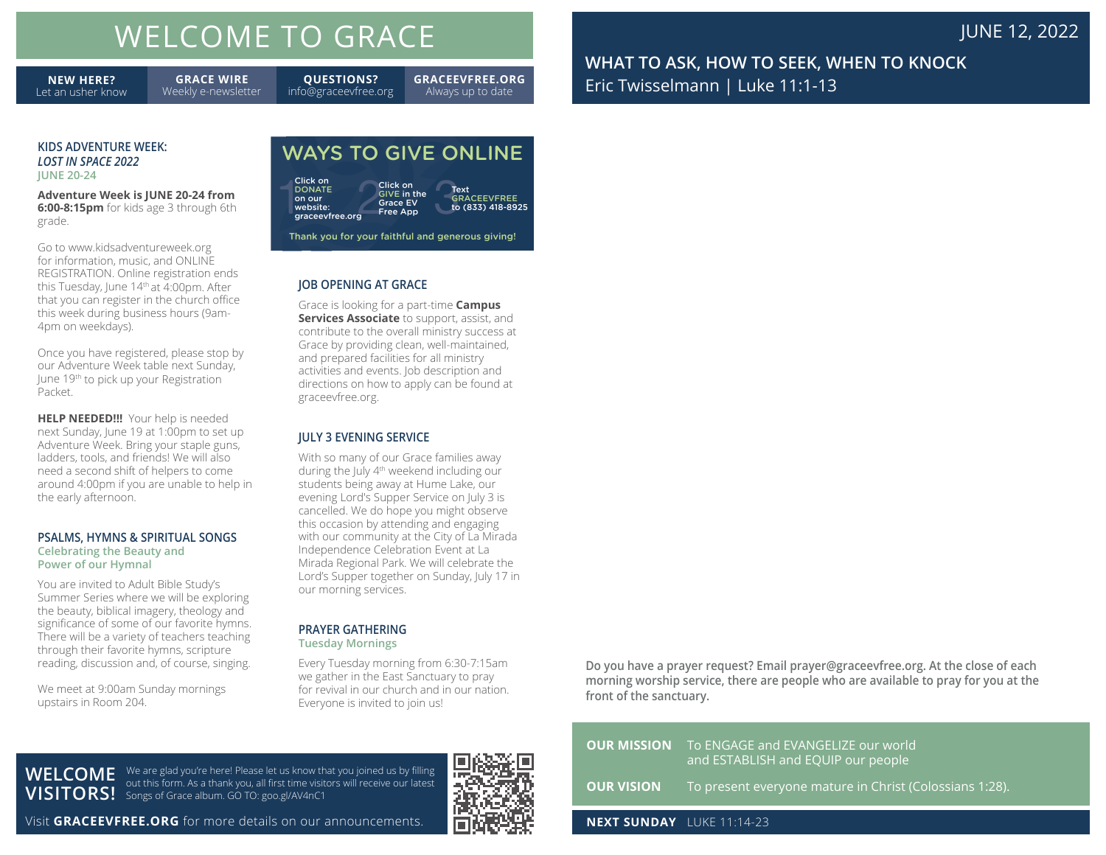# WELCOME TO GRACE **The COME TO GRACE JUNE 12, 2022**

**NEW HERE?** Let an usher know

**GRACE WIRE** Weekly e-newsletter

**QUESTIONS?** info@graceevfree.org **GRACEEVFREE.ORG** Always up to date

**WHAT TO ASK, HOW TO SEEK, WHEN TO KNOCK** Eric Twisselmann | Luke 11:1-13

#### **KIDS ADVENTURE WEEK:** *LOST IN SPACE 2022* **JUNE 20-24**

**Adventure Week is JUNE 20-24 from 6:00-8:15pm** for kids age 3 through 6th grade.

Go to www.kidsadventureweek.org for information, music, and ONLINE REGISTRATION. Online registration ends this Tuesday, June  $14<sup>th</sup>$  at 4:00pm. After that you can register in the church office this week during business hours (9am-4pm on weekdays).

Once you have registered, please stop by our Adventure Week table next Sunday, June 19th to pick up your Registration Packet.

**HELP NEEDED!!!** Your help is needed next Sunday, June 19 at 1:00pm to set up Adventure Week. Bring your staple guns, ladders, tools, and friends! We will also need a second shift of helpers to come around 4:00pm if you are unable to help in the early afternoon.

#### **PSALMS, HYMNS & SPIRITUAL SONGS Celebrating the Beauty and Power of our Hymnal**

You are invited to Adult Bible Study's Summer Series where we will be exploring the beauty, biblical imagery, theology and significance of some of our favorite hymns. There will be a variety of teachers teaching through their favorite hymns, scripture reading, discussion and, of course, singing.

We meet at 9:00am Sunday mornings upstairs in Room 204.

## WAYS TO GIVE ONLINE

| Click on<br><b>DONATE</b><br>on our<br>website:<br>graceevfree.org | Click on<br><b>GIVE in the</b><br><b>Grace EV</b><br><b>Free App</b> | Text<br><b>GRACEEVFREE</b><br>to (833) 418-8925  |
|--------------------------------------------------------------------|----------------------------------------------------------------------|--------------------------------------------------|
|                                                                    |                                                                      | Thank you for your faithful and generous giving! |

**JOB OPENING AT GRACE**

Grace is looking for a part-time **Campus Services Associate** to support, assist, and contribute to the overall ministry success at Grace by providing clean, well-maintained, and prepared facilities for all ministry activities and events. Job description and directions on how to apply can be found at graceevfree.org.

### **JULY 3 EVENING SERVICE**

With so many of our Grace families away during the July 4th weekend including our students being away at Hume Lake, our evening Lord's Supper Service on July 3 is cancelled. We do hope you might observe this occasion by attending and engaging with our community at the City of La Mirada Independence Celebration Event at La Mirada Regional Park. We will celebrate the Lord's Supper together on Sunday, July 17 in our morning services.

#### **PRAYER GATHERING Tuesday Mornings**

Every Tuesday morning from 6:30-7:15am we gather in the East Sanctuary to pray for revival in our church and in our nation. Everyone is invited to join us!

**Do you have a prayer request? Email prayer@graceevfree.org. At the close of each morning worship service, there are people who are available to pray for you at the front of the sanctuary.** 

|                                  | <b>OUR MISSION</b> To ENGAGE and EVANGELIZE our world<br>and ESTABLISH and EQUIP our people |
|----------------------------------|---------------------------------------------------------------------------------------------|
|                                  | <b>OUR VISION</b> To present everyone mature in Christ (Colossians 1:28).                   |
| <b>NEXT SUNDAY</b> LUKE 11:14-23 |                                                                                             |

**WELCOME** 

**VISITORS!** Songs of Grace album. GO TO: goo.gl/AV4nC1 We are glad you're here! Please let us know that you joined us by filling out this form. As a thank you, all first time visitors will receive our latest

Visit **GRACEEVFREE.ORG** for more details on our announcements.